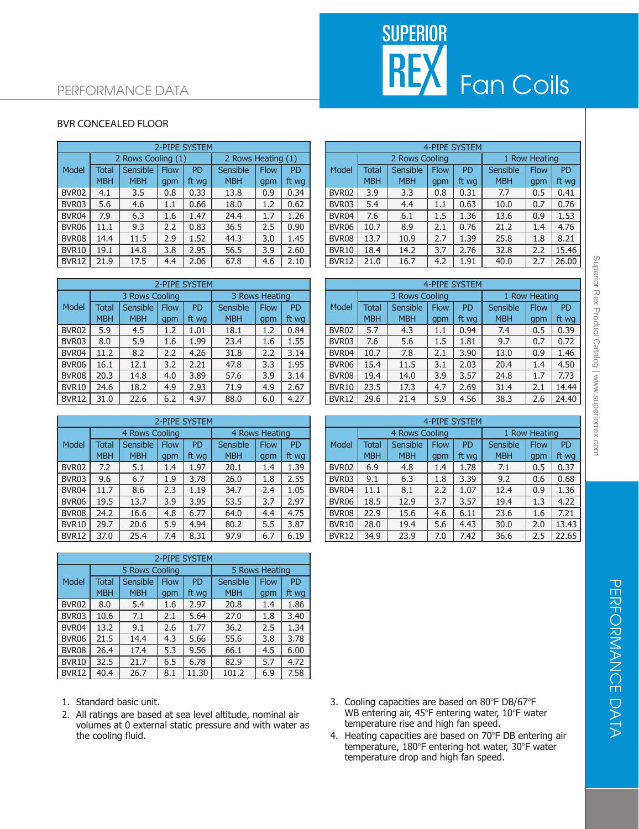# **SUPERIOR REX** Fan Coils

### PERFORMANCE DATA

#### BVR CONCEALED FLOOR

|              | 2-PIPE SYSTEM |                    |             |           |                    |             |           |  |  |  |
|--------------|---------------|--------------------|-------------|-----------|--------------------|-------------|-----------|--|--|--|
|              |               | 2 Rows Cooling (1) |             |           | 2 Rows Heating (1) |             |           |  |  |  |
| <b>Model</b> | <b>Total</b>  | Sensible           | <b>Flow</b> | <b>PD</b> | Sensible           | <b>Flow</b> | <b>PD</b> |  |  |  |
|              | <b>MBH</b>    | <b>MBH</b>         | gpm         | ft wg     | <b>MBH</b>         | gpm         | ft wg     |  |  |  |
| BVR02        | 4.1           | 3.5                | 0.8         | 0.33      | 13.8               | 0.9         | 0.34      |  |  |  |
| BVR03        | 5.6           | 4.6                | 1.1         | 0.66      | 18.0               | 1.2         | 0.62      |  |  |  |
| BVR04        | 7.9           | 6.3                | 1.6         | 1.47      | 24.4               | 1.7         | 1.26      |  |  |  |
| BVR06        | 11.1          | 9.3                | 2.2         | 0.83      | 36.5               | 2.5         | 0.90      |  |  |  |
| BVR08        | 14.4          | 11.5               | 2.9         | 1.52      | 44.3               | 3.0         | 1.45      |  |  |  |
| <b>BVR10</b> | 19.1          | 14.8               | 3.8         | 2.95      | 56.5               | 3.9         | 2.60      |  |  |  |
| <b>BVR12</b> | 21.9          | 17.5               | 4.4         | 2.06      | 67.8               | 4.6         | 2.10      |  |  |  |

|              | <b>2-PIPE SYSTEM</b> |                |             |           |                |             |           |  |  |  |
|--------------|----------------------|----------------|-------------|-----------|----------------|-------------|-----------|--|--|--|
|              |                      | 3 Rows Cooling |             |           | 3 Rows Heating |             |           |  |  |  |
| <b>Model</b> | <b>Total</b>         | Sensible       | <b>Flow</b> | <b>PD</b> | Sensible       | <b>Flow</b> | <b>PD</b> |  |  |  |
|              | <b>MBH</b>           | <b>MBH</b>     | gpm         | ft wg     | <b>MBH</b>     | gpm         | ft wg     |  |  |  |
| BVR02        | 5.9                  | 4.5            | 1.2         | 1.01      | 18.1           | 1.2         | 0.84      |  |  |  |
| BVR03        | 8.0                  | 5.9            | 1.6         | 1.99      | 23.4           | 1.6         | 1.55      |  |  |  |
| BVR04        | 11.2                 | 8.2            | 2.2         | 4.26      | 31.8           | 2.2         | 3.14      |  |  |  |
| BVR06        | 16.1                 | 12.1           | 3.2         | 2.21      | 47.8           | 3.3         | 1.95      |  |  |  |
| BVR08        | 20.3                 | 14.8           | 4.0         | 3.89      | 57.6           | 3.9         | 3.14      |  |  |  |
| BVR10        | 24.6                 | 18.2           | 4.9         | 2.93      | 71.9           | 4.9         | 2.67      |  |  |  |
| BVR12        | 31.0                 | 22.6           | 6.2         | 4.97      | 88.0           | 6.0         | 4.27      |  |  |  |

|                   | 2-PIPE SYSTEM |                |             |                |            |             |           |  |  |  |
|-------------------|---------------|----------------|-------------|----------------|------------|-------------|-----------|--|--|--|
|                   |               | 4 Rows Cooling |             | 4 Rows Heating |            |             |           |  |  |  |
| Model             | <b>Total</b>  | Sensible       | <b>Flow</b> | <b>PD</b>      | Sensible   | <b>Flow</b> | <b>PD</b> |  |  |  |
|                   | <b>MBH</b>    | <b>MBH</b>     | gpm         | ft wg          | <b>MBH</b> | gpm         | ft wg     |  |  |  |
| BVR <sub>02</sub> | 7.2           | 5.1            | 1.4         | 1.97           | 20.1       | 1.4         | 1.39      |  |  |  |
| BVR03             | 9.6           | 6.7            | 1.9         | 3.78           | 26.0       | 1.8         | 2.55      |  |  |  |
| BVR04             | 11.7          | 8.6            | 2.3         | 1.19           | 34.7       | 2.4         | 1.05      |  |  |  |
| BVR06             | 19.5          | 13.7           | 3.9         | 3.95           | 53.5       | 3.7         | 2.97      |  |  |  |
| BVR08             | 24.2          | 16.6           | 4.8         | 6.77           | 64.0       | 4.4         | 4.75      |  |  |  |
| <b>BVR10</b>      | 29.7          | 20.6           | 5.9         | 4.94           | 80.2       | 5.5         | 3.87      |  |  |  |
| <b>BVR12</b>      | 37.0          | 25.4           | 7.4         | 8.31           | 97.9       | 6.7         | 6.19      |  |  |  |

|              | 2-PIPE SYSTEM |                |             |           |            |                |           |  |  |  |
|--------------|---------------|----------------|-------------|-----------|------------|----------------|-----------|--|--|--|
|              |               | 5 Rows Cooling |             |           |            | 5 Rows Heating |           |  |  |  |
| Model        | <b>Total</b>  | Sensible       | <b>Flow</b> | <b>PD</b> | Sensible   | <b>Flow</b>    | <b>PD</b> |  |  |  |
|              | <b>MBH</b>    | <b>MBH</b>     | gpm         | ft wg     | <b>MBH</b> | gpm            | ft wg     |  |  |  |
| BVR02        | 8.0           | 5.4            | 1.6         | 2.97      | 20.8       | 1.4            | 1.86      |  |  |  |
| BVR03        | 10.6          | 7.1            | 2.1         | 5.64      | 27.0       | 1.8            | 3.40      |  |  |  |
| BVR04        | 13.2          | 9.1            | 2.6         | 1.77      | 36.2       | 2.5            | 1.34      |  |  |  |
| BVR06        | 21.5          | 14.4           | 4.3         | 5.66      | 55.6       | 3.8            | 3.78      |  |  |  |
| BVR08        | 26.4          | 17.4           | 5.3         | 9.56      | 66.1       | 4.5            | 6.00      |  |  |  |
| <b>BVR10</b> | 32.5          | 21.7           | 6.5         | 6.78      | 82.9       | 5.7            | 4.72      |  |  |  |
| BVR12        | 40.4          | 26.7           | 8.1         | 11.30     | 101.2      | 6.9            | 7.58      |  |  |  |

- 1. Standard basic unit.
- 2. All ratings are based at sea level altitude, nominal air volumes at 0 external static pressure and with water as the cooling fluid.

|              |              |                    |             | 2-PIPE SYSTEM |                    |             |           |  |              | <b>4-PIPE SYSTEM</b> |                |             |       |            |               |       |
|--------------|--------------|--------------------|-------------|---------------|--------------------|-------------|-----------|--|--------------|----------------------|----------------|-------------|-------|------------|---------------|-------|
|              |              | 2 Rows Cooling (1) |             |               | 2 Rows Heating (1) |             |           |  |              |                      | 2 Rows Cooling |             |       |            | 1 Row Heating |       |
| Model        | <b>Total</b> | <b>Sensible</b>    | <b>Flow</b> | PD            | Sensible           | <b>Flow</b> | <b>PD</b> |  | <b>Model</b> | Total                | Sensible       | <b>Flow</b> | PD    | Sensible   | <b>Flow</b>   | PD    |
|              | <b>MBH</b>   | <b>MBH</b>         | gpm         | ft wa         | <b>MBH</b>         | gpm         | ft wg     |  |              | <b>MBH</b>           | <b>MBH</b>     | gpm         | ft wa | <b>MBH</b> | gpm           | ft wg |
| BVR02        | 4.1          | 3.5                | 0.8         | 0.33          | 13.8               | 0.9         | 0.34      |  | BVR02        | 3.9                  | 3.3            | 0.8         | 0.31  | 7.7        | 0.5           | 0.41  |
| BVR03        | 5.6          | 4.6                | $1.1\,$     | 0.66          | 18.0               | 1.2         | 0.62      |  | BVR03        | 5.4                  | 4.4            | 1.1         | 0.63  | 10.0       | 0.7           | 0.76  |
| BVR04        | 7.9          | 6.3                | 1.6         | 1.47          | 24.4               | 1.7         | 1.26      |  | BVR04        | 7.6                  | 6.1            | 1.5         | 1.36  | 13.6       | 0.9           | 1.53  |
| BVR06        | 11.1         | 9.3                | 2.2         | 0.83          | 36.5               | 2.5         | 0.90      |  | BVR06        | 10.7                 | 8.9            | 2.1         | 0.76  | 21.2       | 1.4           | 4.76  |
| BVR08        | 14.4         | 11.5               | 2.9         | 1.52          | 44.3               | 3.0         | 1.45      |  | BVR08        | 13.7                 | 10.9           | 2.7         | 1.39  | 25.8       | 1.8           | 8.21  |
| <b>BVR10</b> | 19.1         | 14.8               | 3.8         | 2.95          | 56.5               | 3.9         | 2.60      |  | BVR10        | 18.4                 | 14.2           | 3.7         | 2.76  | 32.8       | 2.2           | 15.46 |
| <b>BVR12</b> | 21.9         | 17.5               | 4.4         | 2.06          | 67.8               | 4.6         | 2.10      |  | BVR12        | 21.0                 | 16.7           | 4.2         | 1.91  | 40.0       | 2.7           | 26.00 |

|              | 2-PIPE SYSTEM |                |             |       |                |             |           |  |       |                               |            |             | 4-PIPE SYSTEM |            |             |       |
|--------------|---------------|----------------|-------------|-------|----------------|-------------|-----------|--|-------|-------------------------------|------------|-------------|---------------|------------|-------------|-------|
|              |               | 3 Rows Cooling |             |       | 3 Rows Heating |             |           |  |       | Row Heating<br>3 Rows Cooling |            |             |               |            |             |       |
| Model        | <b>Total</b>  | Sensible       | <b>Flow</b> | PD    | Sensible       | <b>Flow</b> | <b>PD</b> |  | Model | Total                         | Sensible   | <b>Flow</b> | <b>PD</b>     | Sensible   | <b>Flow</b> | PD    |
|              | <b>MBH</b>    | <b>MBH</b>     | qpm         | ft wg | <b>MBH</b>     | gpm         | ft wg     |  |       | <b>MBH</b>                    | <b>MBH</b> | gpm         | ft wg         | <b>MBH</b> | gpm         | ft wg |
| BVR02        | 5.9           | 4.5            | 1.2         | 1.01  | 18.1           | 1.2         | 0.84      |  | BVR02 | 5.7                           | 4.3        | $1.1\,$     | 0.94          | 7.4        | 0.5         | 0.39  |
| BVR03        | 8.0           | 5.9            | 1.6         | 1.99  | 23.4           | 1.6         | 1.55      |  | BVR03 | 7.6                           | 5.6        | 1.5         | 1.81          | 9.7        | 0.7         | 0.72  |
| BVR04        | 11.2          | 8.2            | 2.2         | 4.26  | 31.8           | 2.2         | 3.14      |  | BVR04 | 10.7                          | 7.8        | 2.1         | 3.90          | 13.0       | 0.9         | 1.46  |
| BVR06        | 16.1          | 12.1           | 3.2         | 2.21  | 47.8           | 3.3         | 1.95      |  | BVR06 | 15.4                          | 11.5       | 3.1         | 2.03          | 20.4       | 1.4         | 4.50  |
| BVR08        | 20.3          | 14.8           | 4.0         | 3.89  | 57.6           | 3.9         | 3.14      |  | BVR08 | 19.4                          | 14.0       | 3.9         | 3.57          | 24.8       | 1.7         | 7.73  |
| <b>BVR10</b> | 24.6          | 18.2           | 4.9         | 2.93  | 71.9           | 4.9         | 2.67      |  | BVR10 | 23.5                          | 17.3       | 4.7         | 2.69          | 31.4       | 2.1         | 14.44 |
| <b>BVR12</b> | 31.0          | 22.6           | 6.2         | 4.97  | 88.0           | 6.0         | 4.27      |  | BVR12 | 29.6                          | 21.4       | 5.9         | 4.56          | 38.3       | 2.6         | 24.40 |

|              | 2-PIPE SYSTEM |                 |             |       |                 |                |           |  |              | 4-PIPE SYSTEM |                |             |       |            |                    |           |
|--------------|---------------|-----------------|-------------|-------|-----------------|----------------|-----------|--|--------------|---------------|----------------|-------------|-------|------------|--------------------|-----------|
|              |               | 4 Rows Cooling  |             |       |                 | 4 Rows Heating |           |  |              |               | 4 Rows Cooling |             |       |            | <b>Row Heating</b> |           |
| Model        | Total         | <b>Sensible</b> | <b>Flow</b> | PD    | <b>Sensible</b> | <b>Flow</b>    | <b>PD</b> |  | Model        | Total         | Sensible       | <b>Flow</b> | PD    | Sensible   | <b>Flow</b>        | <b>PD</b> |
|              | <b>MBH</b>    | <b>MBH</b>      | gpm         | ft wg | <b>MBH</b>      | qpm            | ft wg     |  |              | <b>MBH</b>    | <b>MBH</b>     | gpm         | ft wa | <b>MBH</b> | gpm                | ft wg     |
| BVR02        | 7.2           | 5.1             | 1.4         | 1.97  | 20.1            | 1.4            | 1.39      |  | BVR02        | 6.9           | 4.8            | 1.4         | 1.78  | 7.1        | 0.5                | 0.37      |
| BVR03        | 9.6           | 6.7             | 1.9         | 3.78  | 26.0            | 1.8            | 2.55      |  | BVR03        | 9.1           | 6.3            | 1.8         | 3.39  | 9.2        | 0.6                | 0.68      |
| BVR04        | 11.7          | 8.6             | 2.3         | 1.19  | 34.7            | 2.4            | 1.05      |  | BVR04        | 11.1          | 8.1            | 2.2         | 1.07  | 12.4       | 0.9                | 1.36      |
| BVR06        | 19.5          | 13.7            | 3.9         | 3.95  | 53.5            | 3.7            | 2.97      |  | BVR06        | 18.5          | 12.9           | 3.7         | 3.57  | 19.4       | 1.3                | 4.22      |
| BVR08        | 24.2          | 16.6            | 4.8         | 6.77  | 64.0            | 4.4            | 4.75      |  | BVR08        | 22.9          | 15.6           | 4.6         | 6.11  | 23.6       | 1.6                | 7.21      |
| <b>BVR10</b> | 29.7          | 20.6            | 5.9         | 4.94  | 80.2            | 5.5            | 3.87      |  | <b>BVR10</b> | 28.0          | 19.4           | 5.6         | 4.43  | 30.0       | 2.0                | 13.43     |
| BVR12        | 37.0          | 25.4            | 7.4         | 8.31  | 97.9            | 6.7            | 6.19      |  | BVR12        | 34.9          | 23.9           | 7.0         | 7.42  | 36.6       | 2.5                | 22.65     |
|              |               |                 |             |       |                 |                |           |  |              |               |                |             |       |            |                    |           |

- 3. Cooling capacities are based on  $80^{\circ}$ F DB/67 $^{\circ}$ F WB entering air, 45°F entering water, 10°F water temperature rise and high fan speed.
- 4. Heating capacities are based on 70°F DB entering air temperature, 180°F entering hot water, 30°F water temperature drop and high fan speed.